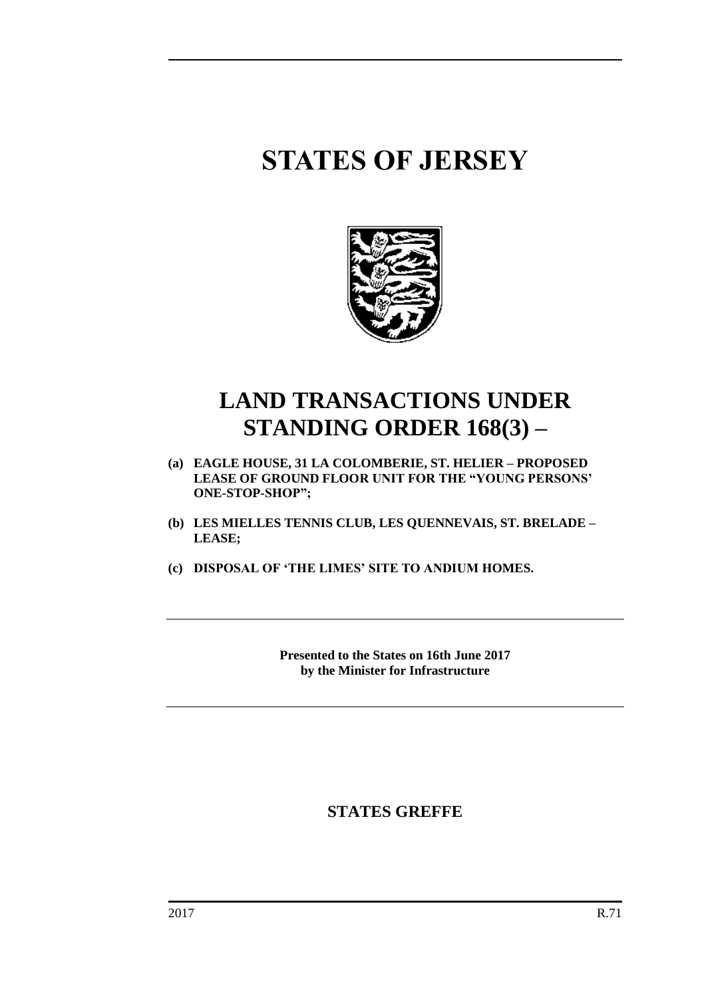# **STATES OF JERSEY**



## **LAND TRANSACTIONS UNDER STANDING ORDER 168(3) –**

- **(a) EAGLE HOUSE, 31 LA COLOMBERIE, ST. HELIER – PROPOSED LEASE OF GROUND FLOOR UNIT FOR THE "YOUNG PERSONS' ONE-STOP-SHOP";**
- **(b) LES MIELLES TENNIS CLUB, LES QUENNEVAIS, ST. BRELADE – LEASE;**
- **(c) DISPOSAL OF 'THE LIMES' SITE TO ANDIUM HOMES.**

**Presented to the States on 16th June 2017 by the Minister for Infrastructure**

**STATES GREFFE**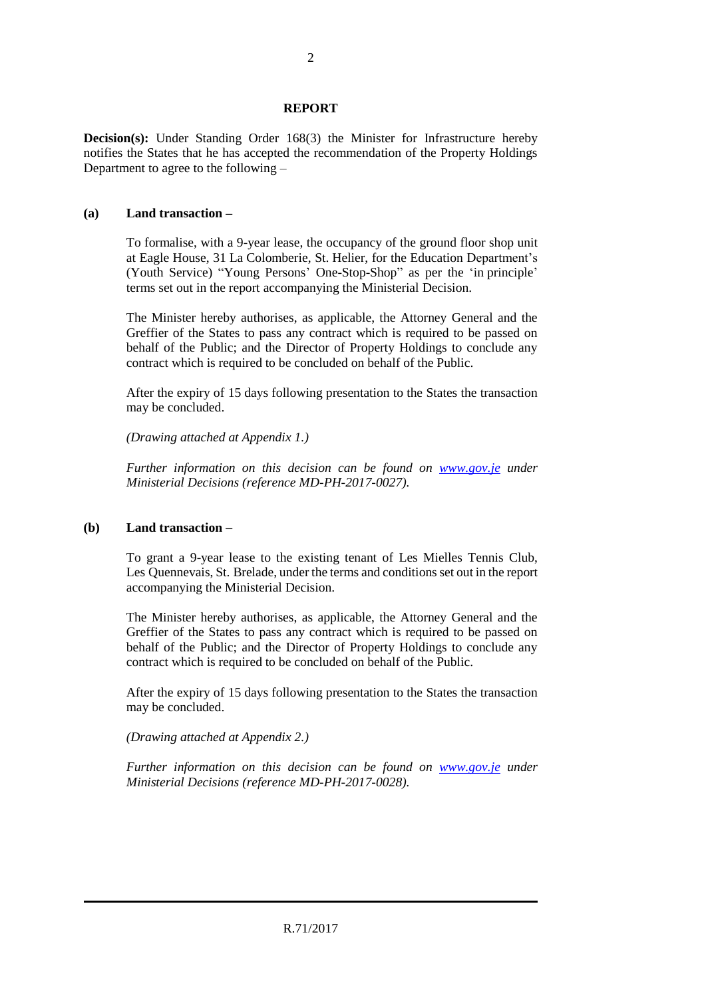#### **REPORT**

**Decision(s):** Under Standing Order 168(3) the Minister for Infrastructure hereby notifies the States that he has accepted the recommendation of the Property Holdings Department to agree to the following –

#### **(a) Land transaction –**

To formalise, with a 9-year lease, the occupancy of the ground floor shop unit at Eagle House, 31 La Colomberie, St. Helier, for the Education Department's (Youth Service) "Young Persons' One-Stop-Shop" as per the 'in principle' terms set out in the report accompanying the Ministerial Decision.

The Minister hereby authorises, as applicable, the Attorney General and the Greffier of the States to pass any contract which is required to be passed on behalf of the Public; and the Director of Property Holdings to conclude any contract which is required to be concluded on behalf of the Public.

After the expiry of 15 days following presentation to the States the transaction may be concluded.

*(Drawing attached at Appendix 1.)*

*Further information on this decision can be found on [www.gov.je](http://www.gov.je/) under Ministerial Decisions (reference MD-PH-2017-0027).*

#### **(b) Land transaction –**

To grant a 9-year lease to the existing tenant of Les Mielles Tennis Club, Les Quennevais, St. Brelade, under the terms and conditions set out in the report accompanying the Ministerial Decision.

The Minister hereby authorises, as applicable, the Attorney General and the Greffier of the States to pass any contract which is required to be passed on behalf of the Public; and the Director of Property Holdings to conclude any contract which is required to be concluded on behalf of the Public.

After the expiry of 15 days following presentation to the States the transaction may be concluded.

*(Drawing attached at Appendix 2.)*

*Further information on this decision can be found on <i>[www.gov.je](http://www.gov.je/)* under *Ministerial Decisions (reference MD-PH-2017-0028).*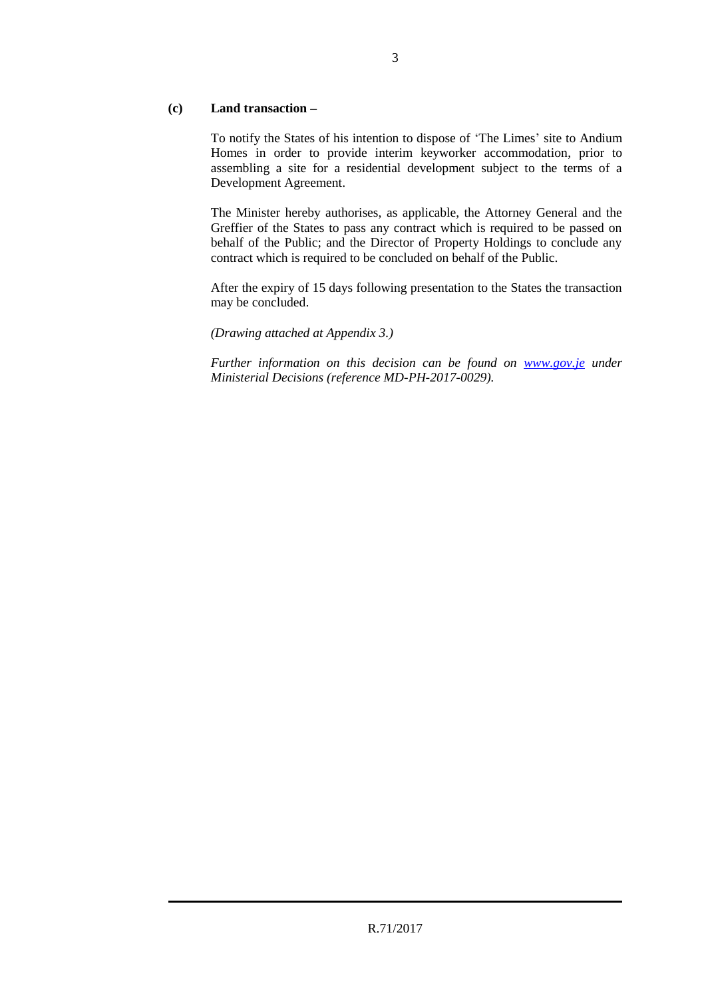### **(c) Land transaction –**

To notify the States of his intention to dispose of 'The Limes' site to Andium Homes in order to provide interim keyworker accommodation, prior to assembling a site for a residential development subject to the terms of a Development Agreement.

The Minister hereby authorises, as applicable, the Attorney General and the Greffier of the States to pass any contract which is required to be passed on behalf of the Public; and the Director of Property Holdings to conclude any contract which is required to be concluded on behalf of the Public.

After the expiry of 15 days following presentation to the States the transaction may be concluded.

*(Drawing attached at Appendix 3.)*

*Further information on this decision can be found on <i>[www.gov.je](http://www.gov.je/)* under *Ministerial Decisions (reference MD-PH-2017-0029).*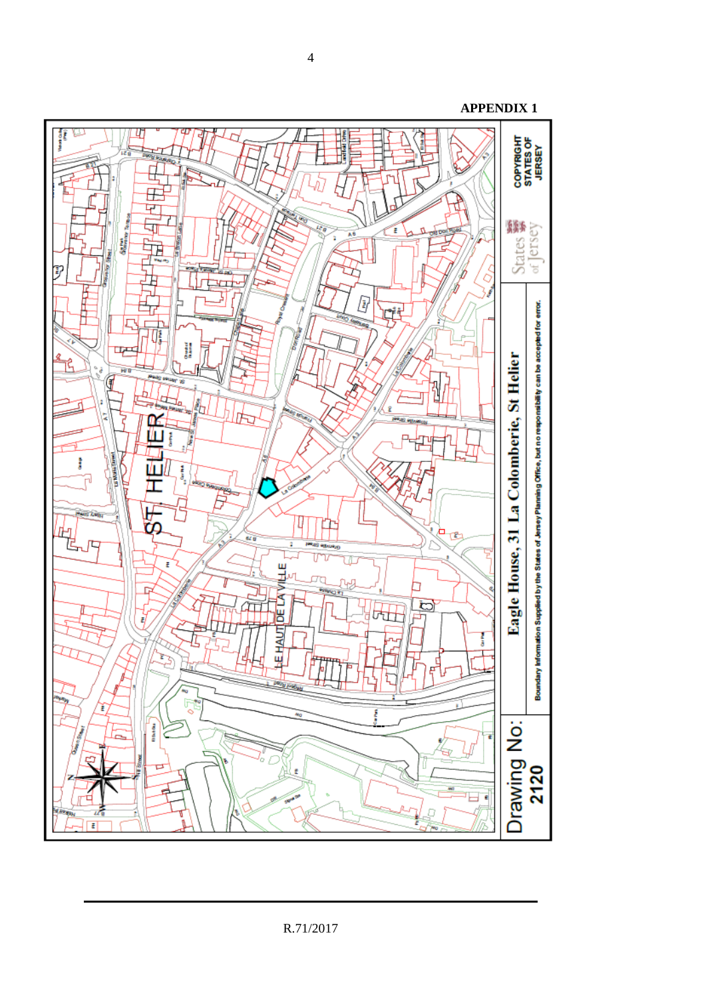

**APPENDIX 1**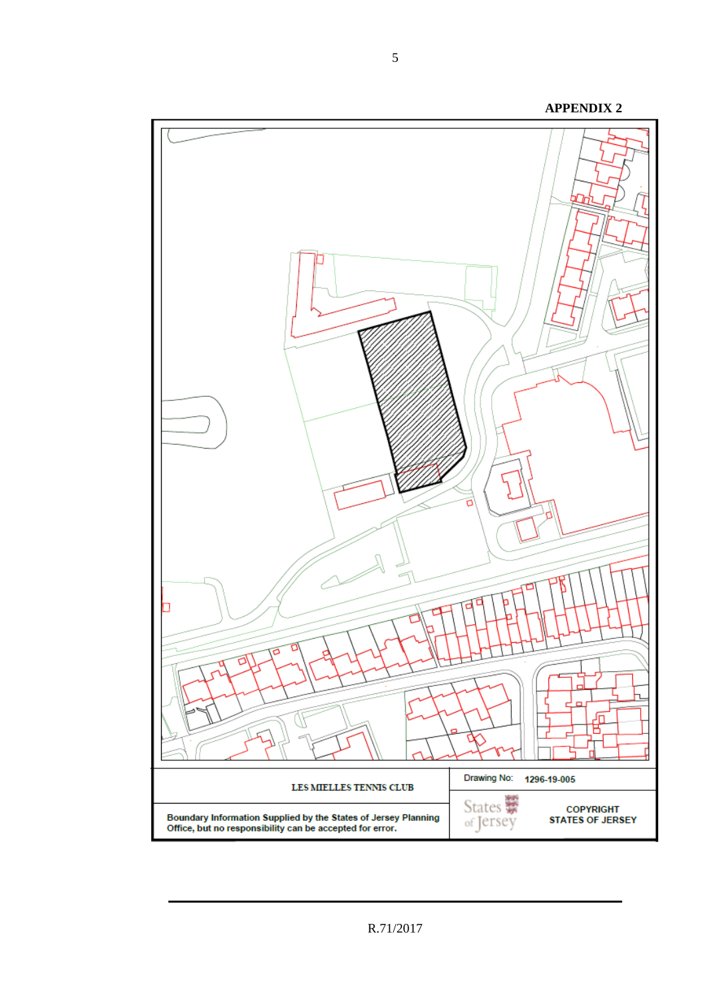